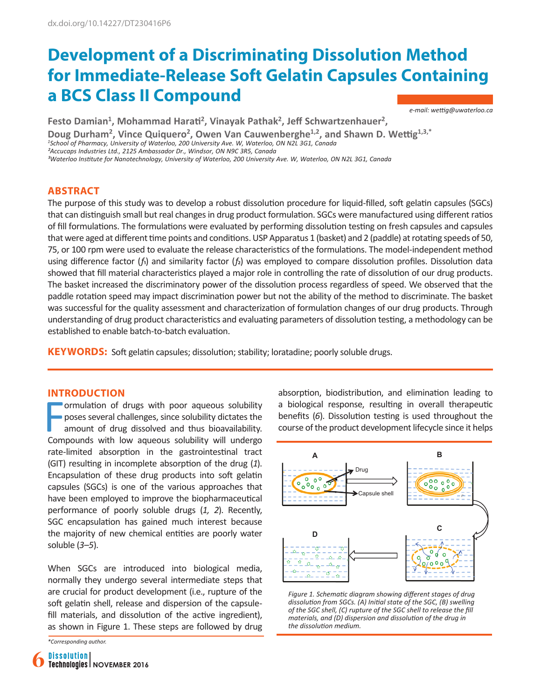# **Development of a Discriminating Dissolution Method for Immediate-Release Soft Gelatin Capsules Containing a BCS Class II Compound**

*e-mail: wettig@uwaterloo.ca*

**Festo Damian1, Mohammad Harati2, Vinayak Pathak2, Jeff Schwartzenhauer2, Doug Durham<sup>2</sup>, Vince Quiquero<sup>2</sup>, Owen Van Cauwenberghe1,2, and Shawn D. Wettig1,3,\***  *<sup>1</sup>School of Pharmacy, University of Waterloo, 200 University Ave. W, Waterloo, ON N2L 3G1, Canada ²Accucaps Industries Ltd., 2125 Ambassador Dr., Windsor, ON N9C 3R5, Canada ³Waterloo Institute for Nanotechnology, University of Waterloo, 200 University Ave. W, Waterloo, ON N2L 3G1, Canada*

# **ABSTRACT**

The purpose of this study was to develop a robust dissolution procedure for liquid-filled, soft gelatin capsules (SGCs) that can distinguish small but real changes in drug product formulation. SGCs were manufactured using different ratios of fill formulations. The formulations were evaluated by performing dissolution testing on fresh capsules and capsules that were aged at different time points and conditions. USP Apparatus 1 (basket) and 2 (paddle) at rotating speeds of 50, 75, or 100 rpm were used to evaluate the release characteristics of the formulations. The model-independent method using difference factor (*f*1) and similarity factor (*f*2) was employed to compare dissolution profiles. Dissolution data showed that fill material characteristics played a major role in controlling the rate of dissolution of our drug products. The basket increased the discriminatory power of the dissolution process regardless of speed. We observed that the paddle rotation speed may impact discrimination power but not the ability of the method to discriminate. The basket was successful for the quality assessment and characterization of formulation changes of our drug products. Through understanding of drug product characteristics and evaluating parameters of dissolution testing, a methodology can be established to enable batch-to-batch evaluation.

**KEYWORDS:** Soft gelatin capsules; dissolution; stability; loratadine; poorly soluble drugs.

## **INTRODUCTION**

Formulation of drugs with poor aqueous solubility<br>poses several challenges, since solubility dictates the<br>amount of drug dissolved and thus bioavailability.<br>Compounds with low aqueous solubility will undergo ormulation of drugs with poor aqueous solubility poses several challenges, since solubility dictates the amount of drug dissolved and thus bioavailability. rate-limited absorption in the gastrointestinal tract (GIT) resulting in incomplete absorption of the drug (*1*). Encapsulation of these drug products into soft gelatin capsules (SGCs) is one of the various approaches that have been employed to improve the biopharmaceutical performance of poorly soluble drugs (*1, 2*). Recently, SGC encapsulation has gained much interest because the majority of new chemical entities are poorly water soluble (*3–5*).

When SGCs are introduced into biological media, normally they undergo several intermediate steps that are crucial for product development (i.e., rupture of the soft gelatin shell, release and dispersion of the capsulefill materials, and dissolution of the active ingredient), as shown in Figure 1. These steps are followed by drug

*\*Corresponding author.*

absorption, biodistribution, and elimination leading to a biological response, resulting in overall therapeutic benefits (*6*). Dissolution testing is used throughout the course of the product development lifecycle since it helps



*Figure 1. Schematic diagram showing different stages of drug dissolution from SGCs. (A) Initial state of the SGC, (B) swelling of the SGC shell, (C) rupture of the SGC shell to release the fill materials, and (D) dispersion and dissolution of the drug in the dissolution medium.*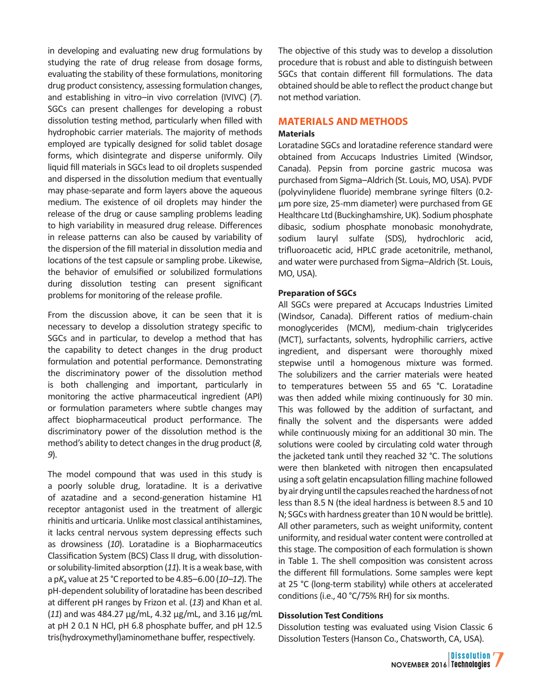in developing and evaluating new drug formulations by studying the rate of drug release from dosage forms, evaluating the stability of these formulations, monitoring drug product consistency, assessing formulation changes, and establishing in vitro–in vivo correlation (IVIVC) (*7*). SGCs can present challenges for developing a robust dissolution testing method, particularly when filled with hydrophobic carrier materials. The majority of methods employed are typically designed for solid tablet dosage forms, which disintegrate and disperse uniformly. Oily liquid fill materials in SGCs lead to oil droplets suspended and dispersed in the dissolution medium that eventually may phase-separate and form layers above the aqueous medium. The existence of oil droplets may hinder the release of the drug or cause sampling problems leading to high variability in measured drug release. Differences in release patterns can also be caused by variability of the dispersion of the fill material in dissolution media and locations of the test capsule or sampling probe. Likewise, the behavior of emulsified or solubilized formulations during dissolution testing can present significant problems for monitoring of the release profile.

From the discussion above, it can be seen that it is necessary to develop a dissolution strategy specific to SGCs and in particular, to develop a method that has the capability to detect changes in the drug product formulation and potential performance. Demonstrating the discriminatory power of the dissolution method is both challenging and important, particularly in monitoring the active pharmaceutical ingredient (API) or formulation parameters where subtle changes may affect biopharmaceutical product performance. The discriminatory power of the dissolution method is the method's ability to detect changes in the drug product (*8, 9*).

The model compound that was used in this study is a poorly soluble drug, loratadine. It is a derivative of azatadine and a second-generation histamine H1 receptor antagonist used in the treatment of allergic rhinitis and urticaria. Unlike most classical antihistamines, it lacks central nervous system depressing effects such as drowsiness (*10*). Loratadine is a Biopharmaceutics Classification System (BCS) Class II drug, with dissolutionor solubility-limited absorption (*11*). It is a weak base, with a p*K*a value at 25 °C reported to be 4.85–6.00 (*10–12*). The pH-dependent solubility of loratadine has been described at different pH ranges by Frizon et al. (*13*) and Khan et al. (*11*) and was 484.27 µg/mL, 4.32 µg/mL, and 3.16 µg/mL at pH 2 0.1 N HCl, pH 6.8 phosphate buffer, and pH 12.5 tris(hydroxymethyl)aminomethane buffer, respectively.

The objective of this study was to develop a dissolution procedure that is robust and able to distinguish between SGCs that contain different fill formulations. The data obtained should be able to reflect the product change but not method variation.

# **MATERIALS AND METHODS**

## **Materials**

Loratadine SGCs and loratadine reference standard were obtained from Accucaps Industries Limited (Windsor, Canada). Pepsin from porcine gastric mucosa was purchased from Sigma–Aldrich (St. Louis, MO, USA). PVDF (polyvinylidene fluoride) membrane syringe filters (0.2 µm pore size, 25-mm diameter) were purchased from GE Healthcare Ltd (Buckinghamshire, UK). Sodium phosphate dibasic, sodium phosphate monobasic monohydrate, sodium lauryl sulfate (SDS), hydrochloric acid, trifluoroacetic acid, HPLC grade acetonitrile, methanol, and water were purchased from Sigma–Aldrich (St. Louis, MO, USA).

## **Preparation of SGCs**

All SGCs were prepared at Accucaps Industries Limited (Windsor, Canada). Different ratios of medium-chain monoglycerides (MCM), medium-chain triglycerides (MCT), surfactants, solvents, hydrophilic carriers, active ingredient, and dispersant were thoroughly mixed stepwise until a homogenous mixture was formed. The solubilizers and the carrier materials were heated to temperatures between 55 and 65 °C. Loratadine was then added while mixing continuously for 30 min. This was followed by the addition of surfactant, and finally the solvent and the dispersants were added while continuously mixing for an additional 30 min. The solutions were cooled by circulating cold water through the jacketed tank until they reached 32 °C. The solutions were then blanketed with nitrogen then encapsulated using a soft gelatin encapsulation filling machine followed by air drying until the capsules reached the hardness of not less than 8.5 N (the ideal hardness is between 8.5 and 10 N; SGCs with hardness greater than 10 N would be brittle). All other parameters, such as weight uniformity, content uniformity, and residual water content were controlled at this stage. The composition of each formulation is shown in Table 1. The shell composition was consistent across the different fill formulations. Some samples were kept at 25 °C (long-term stability) while others at accelerated conditions (i.e., 40 °C/75% RH) for six months.

#### **Dissolution Test Conditions**

Dissolution testing was evaluated using Vision Classic 6 Dissolution Testers (Hanson Co., Chatsworth, CA, USA).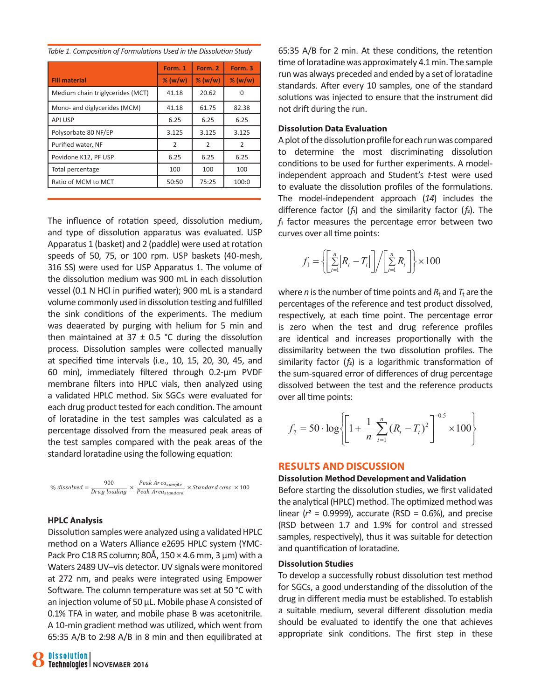|                                  | Form. 1   | Form. 2       | Form. 3   |  |
|----------------------------------|-----------|---------------|-----------|--|
| <b>Fill material</b>             | $%$ (w/w) | $%$ (w/w)     | $%$ (w/w) |  |
| Medium chain triglycerides (MCT) | 41.18     | 20.62         |           |  |
| Mono- and diglycerides (MCM)     | 41.18     | 61.75         | 82.38     |  |
| <b>API USP</b>                   | 6.25      | 6.25          | 6.25      |  |
| Polysorbate 80 NF/EP             | 3.125     | 3.125         | 3.125     |  |
| Purified water, NF               | 2         | $\mathcal{P}$ | 2         |  |
| Povidone K12, PF USP             | 6.25      | 6.25          | 6.25      |  |
| Total percentage                 | 100       | 100           | 100       |  |
| Ratio of MCM to MCT              | 50:50     | 75:25         | 100:0     |  |
|                                  |           |               |           |  |

*Table 1. Composition of Formulations Used in the Dissolution Study*

The influence of rotation speed, dissolution medium, and type of dissolution apparatus was evaluated. USP Apparatus 1 (basket) and 2 (paddle) were used at rotation speeds of 50, 75, or 100 rpm. USP baskets (40-mesh, 316 SS) were used for USP Apparatus 1. The volume of the dissolution medium was 900 mL in each dissolution vessel (0.1 N HCl in purified water); 900 mL is a standard volume commonly used in dissolution testing and fulfilled the sink conditions of the experiments. The medium was deaerated by purging with helium for 5 min and then maintained at  $37 \pm 0.5$  °C during the dissolution process. Dissolution samples were collected manually at specified time intervals (i.e., 10, 15, 20, 30, 45, and 60 min), immediately filtered through 0.2-µm PVDF membrane filters into HPLC vials, then analyzed using a validated HPLC method. Six SGCs were evaluated for each drug product tested for each condition. The amount of loratadine in the test samples was calculated as a percentage dissolved from the measured peak areas of the test samples compared with the peak areas of the standard loratadine using the following equation:

 $\frac{Peak\ Area_{sample}}{X\ Standard\ conc} \times 100$ 900 % dissolved  $=$   $\frac{1}{Drug$  loading  $\times$   $\frac{1}{p}$ 

#### **HPLC Analysis**

Dissolution samples were analyzed using a validated HPLC method on a Waters Alliance e2695 HPLC system (YMC-Pack Pro C18 RS column; 80Å, 150  $\times$  4.6 mm, 3 µm) with a Waters 2489 UV–vis detector. UV signals were monitored at 272 nm, and peaks were integrated using Empower Software. The column temperature was set at 50 °C with an injection volume of 50 µL. Mobile phase A consisted of 0.1% TFA in water, and mobile phase B was acetonitrile. A 10-min gradient method was utilized, which went from 65:35 A/B to 2:98 A/B in 8 min and then equilibrated at

65:35 A/B for 2 min. At these conditions, the retention time of loratadine was approximately 4.1 min. The sample run was always preceded and ended by a set of loratadine standards. After every 10 samples, one of the standard solutions was injected to ensure that the instrument did not drift during the run.

#### **Dissolution Data Evaluation**

A plot of the dissolution profile for each run was compared to determine the most discriminating dissolution conditions to be used for further experiments. A modelindependent approach and Student's *t*-test were used to evaluate the dissolution profiles of the formulations. The model-independent approach (*14*) includes the difference factor (*f*1) and the similarity factor (*f*2). The *f*1 factor measures the percentage error between two curves over all time points:

$$
f_1 = \left\{ \left[ \sum_{t=1}^n \left| R_t - T_t \right| \right] / \left[ \sum_{t=1}^n R_t \right] \right\} \times 100
$$

where *n* is the number of time points and  $R_t$  and  $T_t$  are the percentages of the reference and test product dissolved, respectively, at each time point. The percentage error is zero when the test and drug reference profiles are identical and increases proportionally with the dissimilarity between the two dissolution profiles. The similarity factor (*f*2) is a logarithmic transformation of the sum-squared error of differences of drug percentage dissolved between the test and the reference products over all time points:

$$
f_2 = 50 \cdot \log \left\{ \left[ 1 + \frac{1}{n} \sum_{t=1}^{n} (R_t - T_t)^2 \right]^{-0.5} \times 100 \right\}
$$

## **RESULTS AND DISCUSSION**

#### **Dissolution Method Development and Validation**

Before starting the dissolution studies, we first validated the analytical (HPLC) method. The optimized method was linear ( $r^2$  = 0.9999), accurate (RSD = 0.6%), and precise (RSD between 1.7 and 1.9% for control and stressed samples, respectively), thus it was suitable for detection and quantification of loratadine.

#### **Dissolution Studies**

To develop a successfully robust dissolution test method for SGCs, a good understanding of the dissolution of the drug in different media must be established. To establish a suitable medium, several different dissolution media should be evaluated to identify the one that achieves appropriate sink conditions. The first step in these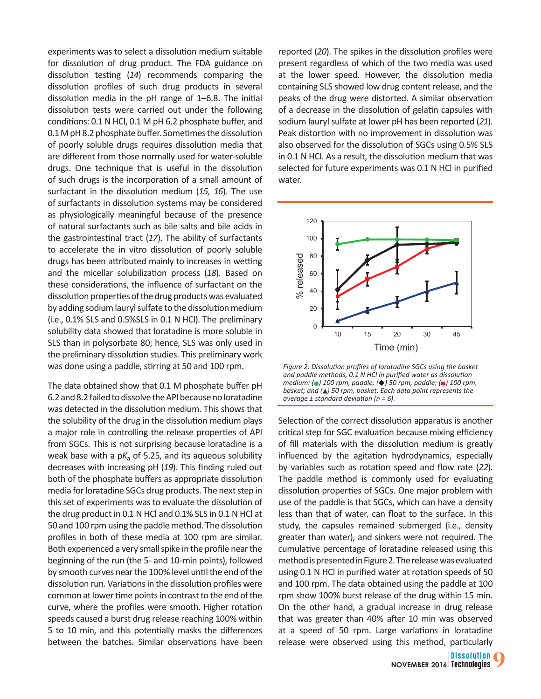experiments was to select a dissolution medium suitable for dissolution of drug product. The FDA guidance on dissolution testing (*14*) recommends comparing the dissolution profiles of such drug products in several dissolution media in the pH range of 1–6.8. The initial dissolution tests were carried out under the following conditions: 0.1 N HCl, 0.1 M pH 6.2 phosphate buffer, and 0.1 M pH 8.2 phosphate buffer. Sometimes the dissolution of poorly soluble drugs requires dissolution media that are different from those normally used for water-soluble drugs. One technique that is useful in the dissolution of such drugs is the incorporation of a small amount of surfactant in the dissolution medium (*15, 16*). The use of surfactants in dissolution systems may be considered as physiologically meaningful because of the presence of natural surfactants such as bile salts and bile acids in the gastrointestinal tract (*17*). The ability of surfactants to accelerate the in vitro dissolution of poorly soluble drugs has been attributed mainly to increases in wetting and the micellar solubilization process (*18*). Based on these considerations, the influence of surfactant on the dissolution properties of the drug products was evaluated by adding sodium lauryl sulfate to the dissolution medium (i.e., 0.1% SLS and 0.5%SLS in 0.1 N HCl). The preliminary solubility data showed that loratadine is more soluble in SLS than in polysorbate 80; hence, SLS was only used in the preliminary dissolution studies. This preliminary work was done using a paddle, stirring at 50 and 100 rpm.

The data obtained show that 0.1 M phosphate buffer pH 6.2 and 8.2 failed to dissolve the API because no loratadine was detected in the dissolution medium. This shows that the solubility of the drug in the dissolution medium plays a major role in controlling the release properties of API from SGCs. This is not surprising because loratadine is a weak base with a  $pK_a$  of 5.25, and its aqueous solubility decreases with increasing pH (*19*). This finding ruled out both of the phosphate buffers as appropriate dissolution media for loratadine SGCs drug products. The next step in this set of experiments was to evaluate the dissolution of the drug product in 0.1 N HCl and 0.1% SLS in 0.1 N HCl at 50 and 100 rpm using the paddle method. The dissolution profiles in both of these media at 100 rpm are similar. Both experienced a very small spike in the profile near the beginning of the run (the 5- and 10-min points), followed by smooth curves near the 100% level until the end of the dissolution run. Variations in the dissolution profiles were common at lower time points in contrast to the end of the curve, where the profiles were smooth. Higher rotation speeds caused a burst drug release reaching 100% within 5 to 10 min, and this potentially masks the differences between the batches. Similar observations have been reported (*20*). The spikes in the dissolution profiles were present regardless of which of the two media was used at the lower speed. However, the dissolution media containing SLS showed low drug content release, and the peaks of the drug were distorted. A similar observation of a decrease in the dissolution of gelatin capsules with sodium lauryl sulfate at lower pH has been reported (*21*). Peak distortion with no improvement in dissolution was also observed for the dissolution of SGCs using 0.5% SLS in 0.1 N HCl. As a result, the dissolution medium that was selected for future experiments was 0.1 N HCl in purified water.



*Figure 2. Dissolution profiles of loratadine SGCs using the basket and paddle methods, 0.1 N HCl in purified water as dissolution medium: ( ) 100 rpm, paddle; ( ) 50 rpm, paddle; ( ) 100 rpm, basket; and ( ) 50 rpm, basket. Each data point represents the average ± standard deviation (n = 6).*

Selection of the correct dissolution apparatus is another critical step for SGC evaluation because mixing efficiency of fill materials with the dissolution medium is greatly influenced by the agitation hydrodynamics, especially by variables such as rotation speed and flow rate (*22*). The paddle method is commonly used for evaluating dissolution properties of SGCs. One major problem with use of the paddle is that SGCs, which can have a density less than that of water, can float to the surface. In this study, the capsules remained submerged (i.e., density greater than water), and sinkers were not required. The cumulative percentage of loratadine released using this method is presented in Figure 2. The release was evaluated using 0.1 N HCl in purified water at rotation speeds of 50 and 100 rpm. The data obtained using the paddle at 100 rpm show 100% burst release of the drug within 15 min. On the other hand, a gradual increase in drug release that was greater than 40% after 10 min was observed at a speed of 50 rpm. Large variations in loratadine release were observed using this method, particularly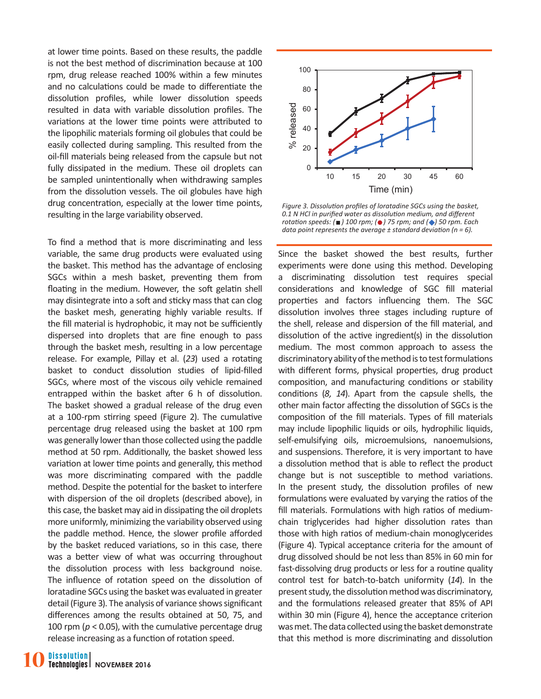at lower time points. Based on these results, the paddle is not the best method of discrimination because at 100 rpm, drug release reached 100% within a few minutes and no calculations could be made to differentiate the dissolution profiles, while lower dissolution speeds resulted in data with variable dissolution profiles. The variations at the lower time points were attributed to the lipophilic materials forming oil globules that could be easily collected during sampling. This resulted from the oil-fill materials being released from the capsule but not fully dissipated in the medium. These oil droplets can be sampled unintentionally when withdrawing samples from the dissolution vessels. The oil globules have high drug concentration, especially at the lower time points, resulting in the large variability observed.

To find a method that is more discriminating and less variable, the same drug products were evaluated using the basket. This method has the advantage of enclosing SGCs within a mesh basket, preventing them from floating in the medium. However, the soft gelatin shell may disintegrate into a soft and sticky mass that can clog the basket mesh, generating highly variable results. If the fill material is hydrophobic, it may not be sufficiently dispersed into droplets that are fine enough to pass through the basket mesh, resulting in a low percentage release. For example, Pillay et al. (*23*) used a rotating basket to conduct dissolution studies of lipid-filled SGCs, where most of the viscous oily vehicle remained entrapped within the basket after 6 h of dissolution. The basket showed a gradual release of the drug even at a 100-rpm stirring speed (Figure 2). The cumulative percentage drug released using the basket at 100 rpm was generally lower than those collected using the paddle method at 50 rpm. Additionally, the basket showed less variation at lower time points and generally, this method was more discriminating compared with the paddle method. Despite the potential for the basket to interfere with dispersion of the oil droplets (described above), in this case, the basket may aid in dissipating the oil droplets more uniformly, minimizing the variability observed using the paddle method. Hence, the slower profile afforded by the basket reduced variations, so in this case, there was a better view of what was occurring throughout the dissolution process with less background noise. The influence of rotation speed on the dissolution of loratadine SGCs using the basket was evaluated in greater detail (Figure 3). The analysis of variance shows significant differences among the results obtained at 50, 75, and 100 rpm (*p* < 0.05), with the cumulative percentage drug release increasing as a function of rotation speed.



*Figure 3. Dissolution profiles of loratadine SGCs using the basket, 0.1 N HCl in purified water as dissolution medium, and different rotation speeds: ( ) 100 rpm; ( ) 75 rpm; and ( ) 50 rpm. Each data point represents the average ± standard deviation (n = 6).*

Since the basket showed the best results, further experiments were done using this method. Developing a discriminating dissolution test requires special considerations and knowledge of SGC fill material properties and factors influencing them. The SGC dissolution involves three stages including rupture of the shell, release and dispersion of the fill material, and dissolution of the active ingredient(s) in the dissolution medium. The most common approach to assess the discriminatory ability of the method is to test formulations with different forms, physical properties, drug product composition, and manufacturing conditions or stability conditions (*8, 14*). Apart from the capsule shells, the other main factor affecting the dissolution of SGCs is the composition of the fill materials. Types of fill materials may include lipophilic liquids or oils, hydrophilic liquids, self-emulsifying oils, microemulsions, nanoemulsions, and suspensions. Therefore, it is very important to have a dissolution method that is able to reflect the product change but is not susceptible to method variations. In the present study, the dissolution profiles of new formulations were evaluated by varying the ratios of the fill materials. Formulations with high ratios of mediumchain triglycerides had higher dissolution rates than those with high ratios of medium-chain monoglycerides (Figure 4). Typical acceptance criteria for the amount of drug dissolved should be not less than 85% in 60 min for fast-dissolving drug products or less for a routine quality control test for batch-to-batch uniformity (*14*). In the present study, the dissolution method was discriminatory, and the formulations released greater that 85% of API within 30 min (Figure 4), hence the acceptance criterion was met. The data collected using the basket demonstrate that this method is more discriminating and dissolution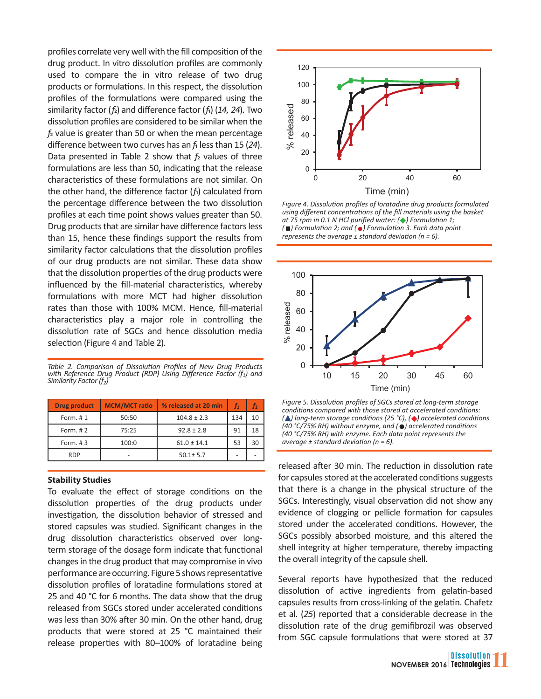profiles correlate very well with the fill composition of the drug product. In vitro dissolution profiles are commonly used to compare the in vitro release of two drug products or formulations. In this respect, the dissolution profiles of the formulations were compared using the similarity factor (*f*2) and difference factor (*f*1) (*14, 24*). Two dissolution profiles are considered to be similar when the *f*2 value is greater than 50 or when the mean percentage difference between two curves has an *f*1 less than 15 (*24*). Data presented in Table 2 show that  $f_2$  values of three formulations are less than 50, indicating that the release characteristics of these formulations are not similar. On the other hand, the difference factor (*f*1) calculated from the percentage difference between the two dissolution profiles at each time point shows values greater than 50. Drug products that are similar have difference factors less than 15, hence these findings support the results from similarity factor calculations that the dissolution profiles of our drug products are not similar. These data show that the dissolution properties of the drug products were influenced by the fill-material characteristics, whereby formulations with more MCT had higher dissolution rates than those with 100% MCM. Hence, fill-material characteristics play a major role in controlling the dissolution rate of SGCs and hence dissolution media selection (Figure 4 and Table 2).

*Table 2. Comparison of Dissolution Profiles of New Drug Products with Reference Drug Product (RDP) Using Difference Factor (f1) and Similarity Factor (f2)*

| <b>Drug product</b> | <b>MCM/MCT ratio</b> | % released at 20 min | f1  | Tэ |
|---------------------|----------------------|----------------------|-----|----|
| Form. $# 1$         | 50:50                | $104.8 \pm 2.3$      | 134 | 10 |
| Form. $#2$          | 75:25                | $92.8 \pm 2.8$       | 91  | 18 |
| Form. $#3$          | 100:0                | $61.0 \pm 14.1$      | 53  | 30 |
| <b>RDP</b>          |                      | $50.1 \pm 5.7$       |     |    |

#### **Stability Studies**

To evaluate the effect of storage conditions on the dissolution properties of the drug products under investigation, the dissolution behavior of stressed and stored capsules was studied. Significant changes in the drug dissolution characteristics observed over longterm storage of the dosage form indicate that functional changes in the drug product that may compromise in vivo performance are occurring. Figure 5 shows representative dissolution profiles of loratadine formulations stored at 25 and 40 °C for 6 months. The data show that the drug released from SGCs stored under accelerated conditions was less than 30% after 30 min. On the other hand, drug products that were stored at 25 °C maintained their release properties with 80–100% of loratadine being



*Figure 4. Dissolution profiles of loratadine drug products formulated using different concentrations of the fill materials using the basket at 75 rpm in 0.1 N HCl purified water: ( ) Formulation 1; ( ) Formulation 2; and ( ) Formulation 3. Each data point represents the average ± standard deviation (n = 6).* 



*Figure 5. Dissolution profiles of SGCs stored at long-term storage conditions compared with those stored at accelerated conditions: ( ) long-term storage conditions (25 °C), ( ) accelerated conditions (40 °C/75% RH) without enzyme, and ( ) accelerated conditions (40 °C/75% RH) with enzyme. Each data point represents the average ± standard deviation (n = 6).*

released after 30 min. The reduction in dissolution rate for capsules stored at the accelerated conditions suggests that there is a change in the physical structure of the SGCs. Interestingly, visual observation did not show any evidence of clogging or pellicle formation for capsules stored under the accelerated conditions. However, the SGCs possibly absorbed moisture, and this altered the shell integrity at higher temperature, thereby impacting the overall integrity of the capsule shell.

Several reports have hypothesized that the reduced dissolution of active ingredients from gelatin-based capsules results from cross-linking of the gelatin. Chafetz et al. (*25*) reported that a considerable decrease in the dissolution rate of the drug gemifibrozil was observed from SGC capsule formulations that were stored at 37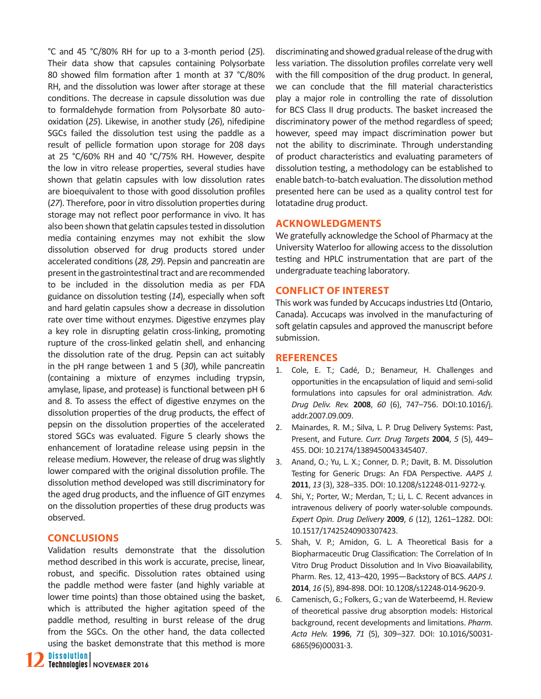°C and 45 °C/80% RH for up to a 3-month period (*25*). Their data show that capsules containing Polysorbate 80 showed film formation after 1 month at 37 °C/80% RH, and the dissolution was lower after storage at these conditions. The decrease in capsule dissolution was due to formaldehyde formation from Polysorbate 80 autooxidation (*25*). Likewise, in another study (*26*), nifedipine SGCs failed the dissolution test using the paddle as a result of pellicle formation upon storage for 208 days at 25 °C/60% RH and 40 °C/75% RH. However, despite the low in vitro release properties, several studies have shown that gelatin capsules with low dissolution rates are bioequivalent to those with good dissolution profiles (*27*). Therefore, poor in vitro dissolution properties during storage may not reflect poor performance in vivo. It has also been shown that gelatin capsules tested in dissolution media containing enzymes may not exhibit the slow dissolution observed for drug products stored under accelerated conditions (*28, 29*). Pepsin and pancreatin are present in the gastrointestinal tract and are recommended to be included in the dissolution media as per FDA guidance on dissolution testing (*14*), especially when soft and hard gelatin capsules show a decrease in dissolution rate over time without enzymes. Digestive enzymes play a key role in disrupting gelatin cross-linking, promoting rupture of the cross-linked gelatin shell, and enhancing the dissolution rate of the drug. Pepsin can act suitably in the pH range between 1 and 5 (*30*), while pancreatin (containing a mixture of enzymes including trypsin, amylase, lipase, and protease) is functional between pH 6 and 8. To assess the effect of digestive enzymes on the dissolution properties of the drug products, the effect of pepsin on the dissolution properties of the accelerated stored SGCs was evaluated. Figure 5 clearly shows the enhancement of loratadine release using pepsin in the release medium. However, the release of drug was slightly lower compared with the original dissolution profile. The dissolution method developed was still discriminatory for the aged drug products, and the influence of GIT enzymes on the dissolution properties of these drug products was observed.

# **CONCLUSIONS**

Validation results demonstrate that the dissolution method described in this work is accurate, precise, linear, robust, and specific. Dissolution rates obtained using the paddle method were faster (and highly variable at lower time points) than those obtained using the basket, which is attributed the higher agitation speed of the paddle method, resulting in burst release of the drug from the SGCs. On the other hand, the data collected using the basket demonstrate that this method is more discriminating and showed gradual release of the drug with less variation. The dissolution profiles correlate very well with the fill composition of the drug product. In general, we can conclude that the fill material characteristics play a major role in controlling the rate of dissolution for BCS Class II drug products. The basket increased the discriminatory power of the method regardless of speed; however, speed may impact discrimination power but not the ability to discriminate. Through understanding of product characteristics and evaluating parameters of dissolution testing, a methodology can be established to enable batch-to-batch evaluation. The dissolution method presented here can be used as a quality control test for lotatadine drug product.

# **ACKNOWLEDGMENTS**

We gratefully acknowledge the School of Pharmacy at the University Waterloo for allowing access to the dissolution testing and HPLC instrumentation that are part of the undergraduate teaching laboratory.

# **CONFLICT OF INTEREST**

This work was funded by Accucaps industries Ltd (Ontario, Canada). Accucaps was involved in the manufacturing of soft gelatin capsules and approved the manuscript before submission.

# **REFERENCES**

- 1. Cole, E. T.; Cadé, D.; Benameur, H. Challenges and opportunities in the encapsulation of liquid and semi-solid formulations into capsules for oral administration. *Adv. Drug Deliv. Rev.* **2008**, *60* (6), 747–756. DOI:10.1016/j. addr.2007.09.009.
- 2. Mainardes, R. M.; Silva, L. P. Drug Delivery Systems: Past, Present, and Future. *Curr. Drug Targets* **2004**, *5* (5), 449– 455. DOI: 10.2174/1389450043345407.
- 3. Anand, O.; Yu, L. X.; Conner, D. P.; Davit, B. M. Dissolution Testing for Generic Drugs: An FDA Perspective. *AAPS J.*  **2011**, *13* (3), 328–335. DOI: 10.1208/s12248-011-9272-y.
- 4. Shi, Y.; Porter, W.; Merdan, T.; Li, L. C. Recent advances in intravenous delivery of poorly water-soluble compounds. *Expert Opin. Drug Delivery* **2009**, *6* (12), 1261–1282. DOI: 10.1517/17425240903307423.
- 5. Shah, V. P.; Amidon, G. L. A Theoretical Basis for a Biopharmaceutic Drug Classification: The Correlation of In Vitro Drug Product Dissolution and In Vivo Bioavailability, Pharm. Res. 12, 413–420, 1995—Backstory of BCS. *AAPS J.* **2014**, *16* (5), 894-898. DOI: 10.1208/s12248-014-9620-9.
- 6. Camenisch, G.; Folkers, G.; van de Waterbeemd, H. Review of theoretical passive drug absorption models: Historical background, recent developments and limitations. *Pharm. Acta Helv.* **1996**, *71* (5), 309–327. DOI: 10.1016/S0031- 6865(96)00031-3.